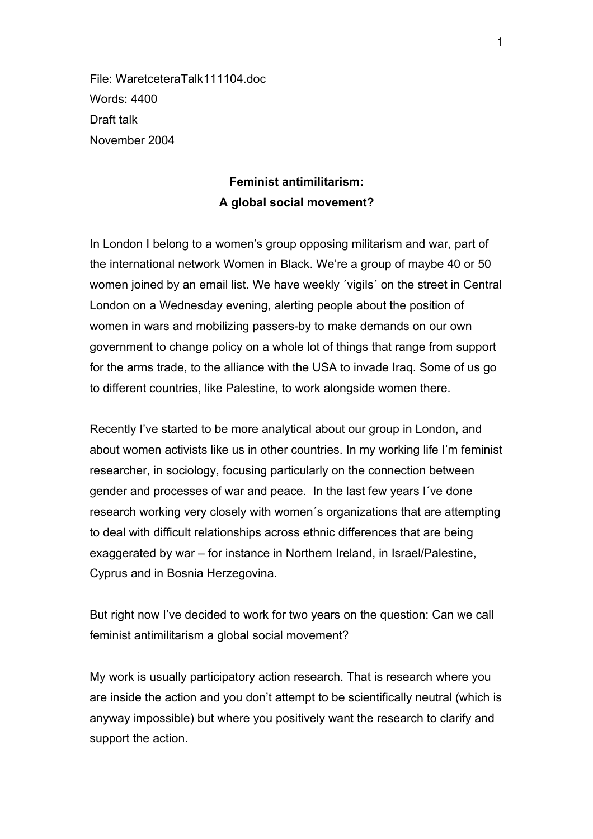File: WaretceteraTalk111104.doc Words: 4400 Draft talk November 2004

# **Feminist antimilitarism: A global social movement?**

In London I belong to a women's group opposing militarism and war, part of the international network Women in Black. We're a group of maybe 40 or 50 women joined by an email list. We have weekly ´vigils´ on the street in Central London on a Wednesday evening, alerting people about the position of women in wars and mobilizing passers-by to make demands on our own government to change policy on a whole lot of things that range from support for the arms trade, to the alliance with the USA to invade Iraq. Some of us go to different countries, like Palestine, to work alongside women there.

Recently I've started to be more analytical about our group in London, and about women activists like us in other countries. In my working life I'm feminist researcher, in sociology, focusing particularly on the connection between gender and processes of war and peace. In the last few years I´ve done research working very closely with women´s organizations that are attempting to deal with difficult relationships across ethnic differences that are being exaggerated by war – for instance in Northern Ireland, in Israel/Palestine, Cyprus and in Bosnia Herzegovina.

But right now I've decided to work for two years on the question: Can we call feminist antimilitarism a global social movement?

My work is usually participatory action research. That is research where you are inside the action and you don't attempt to be scientifically neutral (which is anyway impossible) but where you positively want the research to clarify and support the action.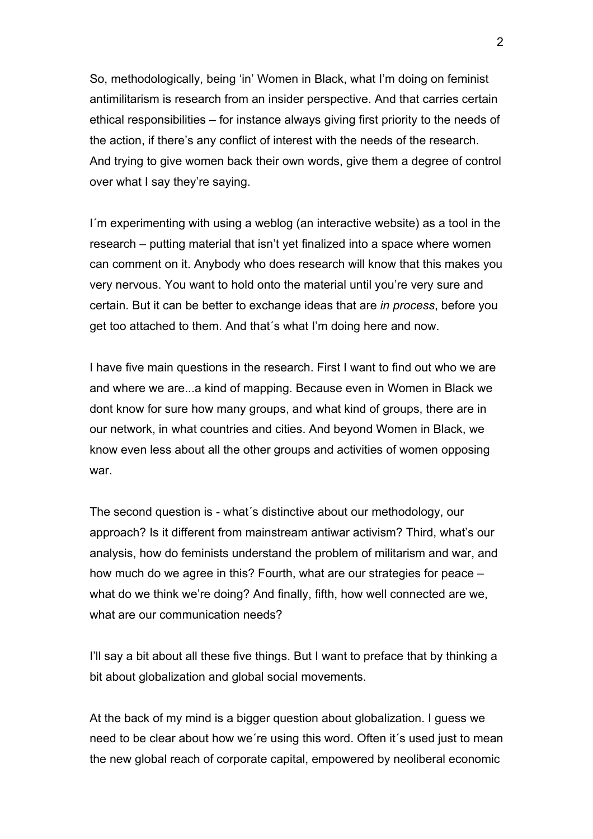So, methodologically, being 'in' Women in Black, what I'm doing on feminist antimilitarism is research from an insider perspective. And that carries certain ethical responsibilities – for instance always giving first priority to the needs of the action, if there's any conflict of interest with the needs of the research. And trying to give women back their own words, give them a degree of control over what I say they're saying.

I´m experimenting with using a weblog (an interactive website) as a tool in the research – putting material that isn't yet finalized into a space where women can comment on it. Anybody who does research will know that this makes you very nervous. You want to hold onto the material until you're very sure and certain. But it can be better to exchange ideas that are *in process*, before you get too attached to them. And that´s what I'm doing here and now.

I have five main questions in the research. First I want to find out who we are and where we are...a kind of mapping. Because even in Women in Black we dont know for sure how many groups, and what kind of groups, there are in our network, in what countries and cities. And beyond Women in Black, we know even less about all the other groups and activities of women opposing war.

The second question is - what´s distinctive about our methodology, our approach? Is it different from mainstream antiwar activism? Third, what's our analysis, how do feminists understand the problem of militarism and war, and how much do we agree in this? Fourth, what are our strategies for peace – what do we think we're doing? And finally, fifth, how well connected are we, what are our communication needs?

I'll say a bit about all these five things. But I want to preface that by thinking a bit about globalization and global social movements.

At the back of my mind is a bigger question about globalization. I guess we need to be clear about how we´re using this word. Often it´s used just to mean the new global reach of corporate capital, empowered by neoliberal economic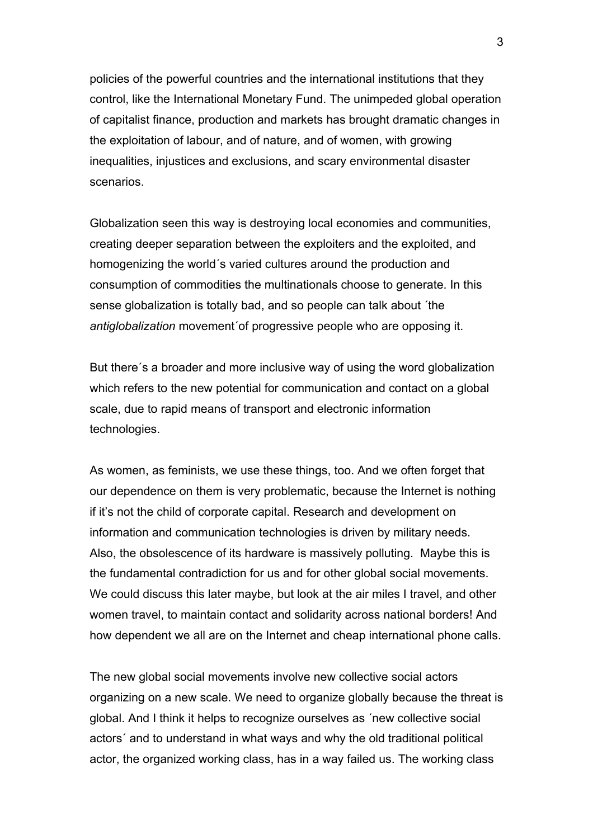policies of the powerful countries and the international institutions that they control, like the International Monetary Fund. The unimpeded global operation of capitalist finance, production and markets has brought dramatic changes in the exploitation of labour, and of nature, and of women, with growing inequalities, injustices and exclusions, and scary environmental disaster scenarios.

Globalization seen this way is destroying local economies and communities, creating deeper separation between the exploiters and the exploited, and homogenizing the world´s varied cultures around the production and consumption of commodities the multinationals choose to generate. In this sense globalization is totally bad, and so people can talk about ´the *antiglobalization* movement´of progressive people who are opposing it.

But there´s a broader and more inclusive way of using the word globalization which refers to the new potential for communication and contact on a global scale, due to rapid means of transport and electronic information technologies.

As women, as feminists, we use these things, too. And we often forget that our dependence on them is very problematic, because the Internet is nothing if it's not the child of corporate capital. Research and development on information and communication technologies is driven by military needs. Also, the obsolescence of its hardware is massively polluting. Maybe this is the fundamental contradiction for us and for other global social movements. We could discuss this later maybe, but look at the air miles I travel, and other women travel, to maintain contact and solidarity across national borders! And how dependent we all are on the Internet and cheap international phone calls.

The new global social movements involve new collective social actors organizing on a new scale. We need to organize globally because the threat is global. And I think it helps to recognize ourselves as ´new collective social actors´ and to understand in what ways and why the old traditional political actor, the organized working class, has in a way failed us. The working class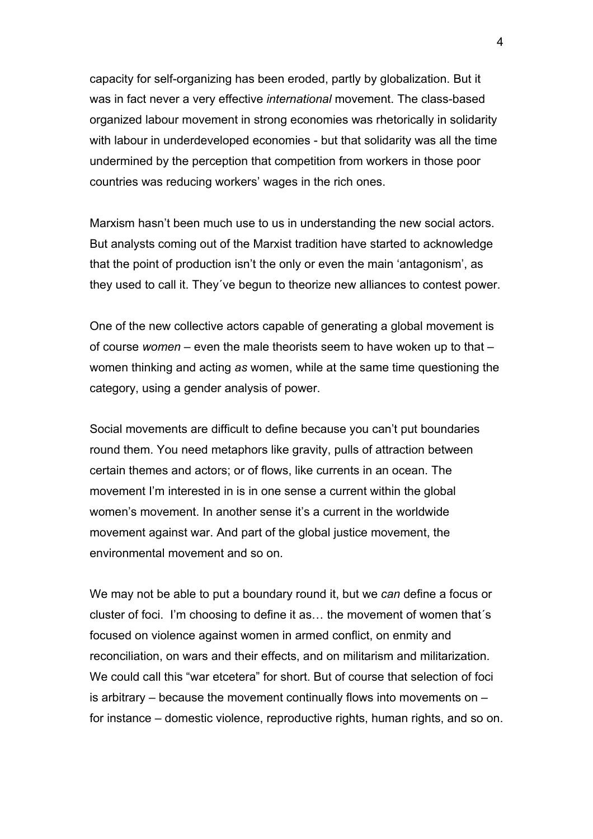capacity for self-organizing has been eroded, partly by globalization. But it was in fact never a very effective *international* movement. The class-based organized labour movement in strong economies was rhetorically in solidarity with labour in underdeveloped economies - but that solidarity was all the time undermined by the perception that competition from workers in those poor countries was reducing workers' wages in the rich ones.

Marxism hasn't been much use to us in understanding the new social actors. But analysts coming out of the Marxist tradition have started to acknowledge that the point of production isn't the only or even the main 'antagonism', as they used to call it. They´ve begun to theorize new alliances to contest power.

One of the new collective actors capable of generating a global movement is of course *women* – even the male theorists seem to have woken up to that – women thinking and acting *as* women, while at the same time questioning the category, using a gender analysis of power.

Social movements are difficult to define because you can't put boundaries round them. You need metaphors like gravity, pulls of attraction between certain themes and actors; or of flows, like currents in an ocean. The movement I'm interested in is in one sense a current within the global women's movement. In another sense it's a current in the worldwide movement against war. And part of the global justice movement, the environmental movement and so on.

We may not be able to put a boundary round it, but we *can* define a focus or cluster of foci. I'm choosing to define it as… the movement of women that´s focused on violence against women in armed conflict, on enmity and reconciliation, on wars and their effects, and on militarism and militarization. We could call this "war etcetera" for short. But of course that selection of foci is arbitrary – because the movement continually flows into movements on – for instance – domestic violence, reproductive rights, human rights, and so on.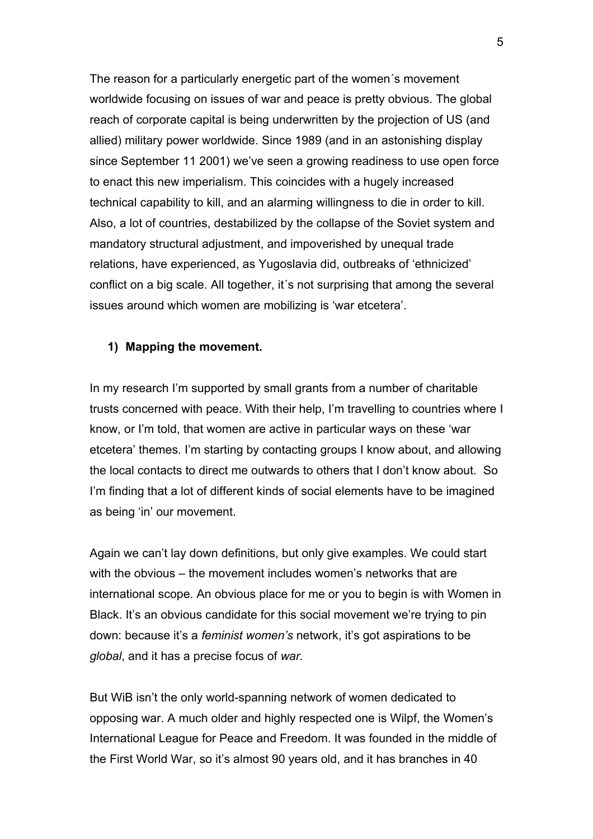The reason for a particularly energetic part of the women´s movement worldwide focusing on issues of war and peace is pretty obvious. The global reach of corporate capital is being underwritten by the projection of US (and allied) military power worldwide. Since 1989 (and in an astonishing display since September 11 2001) we've seen a growing readiness to use open force to enact this new imperialism. This coincides with a hugely increased technical capability to kill, and an alarming willingness to die in order to kill. Also, a lot of countries, destabilized by the collapse of the Soviet system and mandatory structural adjustment, and impoverished by unequal trade relations, have experienced, as Yugoslavia did, outbreaks of 'ethnicized' conflict on a big scale. All together, it´s not surprising that among the several issues around which women are mobilizing is 'war etcetera'.

## **1) Mapping the movement.**

In my research I'm supported by small grants from a number of charitable trusts concerned with peace. With their help, I'm travelling to countries where I know, or I'm told, that women are active in particular ways on these 'war etcetera' themes. I'm starting by contacting groups I know about, and allowing the local contacts to direct me outwards to others that I don't know about. So I'm finding that a lot of different kinds of social elements have to be imagined as being 'in' our movement.

Again we can't lay down definitions, but only give examples. We could start with the obvious – the movement includes women's networks that are international scope. An obvious place for me or you to begin is with Women in Black. It's an obvious candidate for this social movement we're trying to pin down: because it's a *feminist women's* network, it's got aspirations to be *global*, and it has a precise focus of *war.* 

But WiB isn't the only world-spanning network of women dedicated to opposing war. A much older and highly respected one is Wilpf, the Women's International League for Peace and Freedom. It was founded in the middle of the First World War, so it's almost 90 years old, and it has branches in 40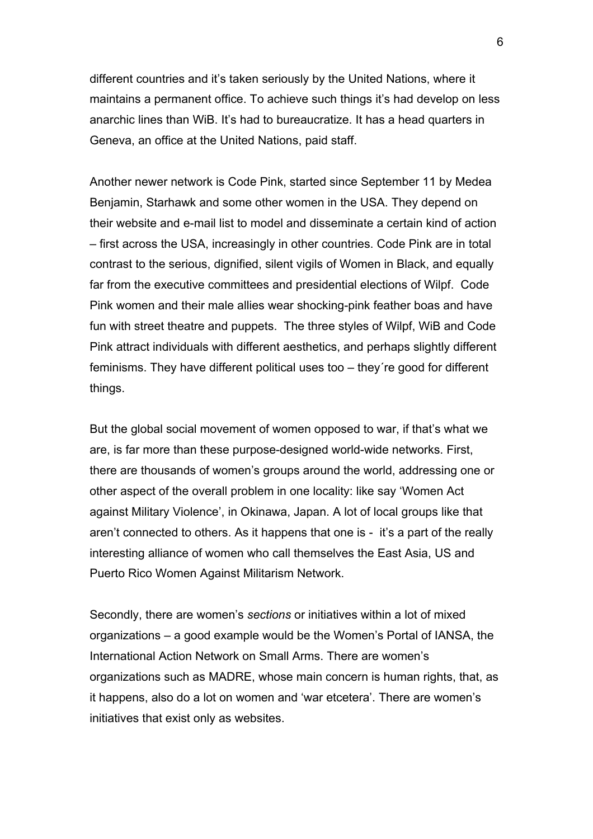different countries and it's taken seriously by the United Nations, where it maintains a permanent office. To achieve such things it's had develop on less anarchic lines than WiB. It's had to bureaucratize. It has a head quarters in Geneva, an office at the United Nations, paid staff.

Another newer network is Code Pink, started since September 11 by Medea Benjamin, Starhawk and some other women in the USA. They depend on their website and e-mail list to model and disseminate a certain kind of action – first across the USA, increasingly in other countries. Code Pink are in total contrast to the serious, dignified, silent vigils of Women in Black, and equally far from the executive committees and presidential elections of Wilpf. Code Pink women and their male allies wear shocking-pink feather boas and have fun with street theatre and puppets. The three styles of Wilpf, WiB and Code Pink attract individuals with different aesthetics, and perhaps slightly different feminisms. They have different political uses too – they´re good for different things.

But the global social movement of women opposed to war, if that's what we are, is far more than these purpose-designed world-wide networks. First, there are thousands of women's groups around the world, addressing one or other aspect of the overall problem in one locality: like say 'Women Act against Military Violence', in Okinawa, Japan. A lot of local groups like that aren't connected to others. As it happens that one is - it's a part of the really interesting alliance of women who call themselves the East Asia, US and Puerto Rico Women Against Militarism Network.

Secondly, there are women's *sections* or initiatives within a lot of mixed organizations – a good example would be the Women's Portal of IANSA, the International Action Network on Small Arms. There are women's organizations such as MADRE, whose main concern is human rights, that, as it happens, also do a lot on women and 'war etcetera'. There are women's initiatives that exist only as websites.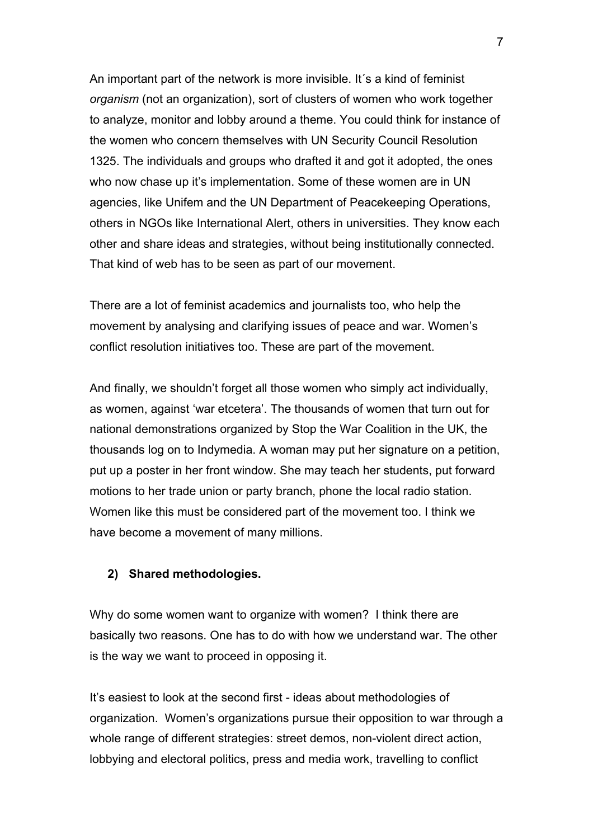An important part of the network is more invisible. It´s a kind of feminist *organism* (not an organization), sort of clusters of women who work together to analyze, monitor and lobby around a theme. You could think for instance of the women who concern themselves with UN Security Council Resolution 1325. The individuals and groups who drafted it and got it adopted, the ones who now chase up it's implementation. Some of these women are in UN agencies, like Unifem and the UN Department of Peacekeeping Operations, others in NGOs like International Alert, others in universities. They know each other and share ideas and strategies, without being institutionally connected. That kind of web has to be seen as part of our movement.

There are a lot of feminist academics and journalists too, who help the movement by analysing and clarifying issues of peace and war. Women's conflict resolution initiatives too. These are part of the movement.

And finally, we shouldn't forget all those women who simply act individually, as women, against 'war etcetera'. The thousands of women that turn out for national demonstrations organized by Stop the War Coalition in the UK, the thousands log on to Indymedia. A woman may put her signature on a petition, put up a poster in her front window. She may teach her students, put forward motions to her trade union or party branch, phone the local radio station. Women like this must be considered part of the movement too. I think we have become a movement of many millions.

## **2) Shared methodologies.**

Why do some women want to organize with women? I think there are basically two reasons. One has to do with how we understand war. The other is the way we want to proceed in opposing it.

It's easiest to look at the second first - ideas about methodologies of organization. Women's organizations pursue their opposition to war through a whole range of different strategies: street demos, non-violent direct action, lobbying and electoral politics, press and media work, travelling to conflict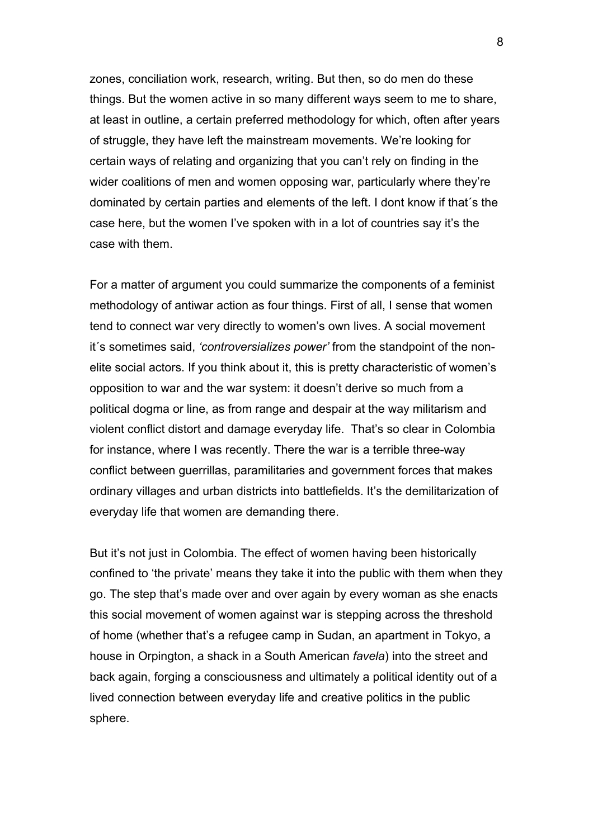zones, conciliation work, research, writing. But then, so do men do these things. But the women active in so many different ways seem to me to share, at least in outline, a certain preferred methodology for which, often after years of struggle, they have left the mainstream movements. We're looking for certain ways of relating and organizing that you can't rely on finding in the wider coalitions of men and women opposing war, particularly where they're dominated by certain parties and elements of the left. I dont know if that´s the case here, but the women I've spoken with in a lot of countries say it's the case with them.

For a matter of argument you could summarize the components of a feminist methodology of antiwar action as four things. First of all, I sense that women tend to connect war very directly to women's own lives. A social movement it´s sometimes said, *'controversializes power'* from the standpoint of the nonelite social actors. If you think about it, this is pretty characteristic of women's opposition to war and the war system: it doesn't derive so much from a political dogma or line, as from range and despair at the way militarism and violent conflict distort and damage everyday life. That's so clear in Colombia for instance, where I was recently. There the war is a terrible three-way conflict between guerrillas, paramilitaries and government forces that makes ordinary villages and urban districts into battlefields. It's the demilitarization of everyday life that women are demanding there.

But it's not just in Colombia. The effect of women having been historically confined to 'the private' means they take it into the public with them when they go. The step that's made over and over again by every woman as she enacts this social movement of women against war is stepping across the threshold of home (whether that's a refugee camp in Sudan, an apartment in Tokyo, a house in Orpington, a shack in a South American *favela*) into the street and back again, forging a consciousness and ultimately a political identity out of a lived connection between everyday life and creative politics in the public sphere.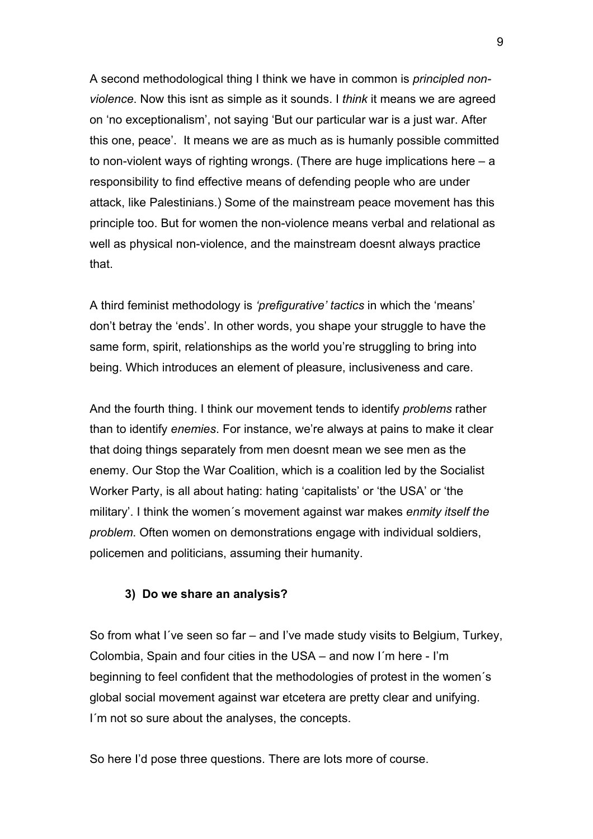A second methodological thing I think we have in common is *principled nonviolence*. Now this isnt as simple as it sounds. I *think* it means we are agreed on 'no exceptionalism', not saying 'But our particular war is a just war. After this one, peace'. It means we are as much as is humanly possible committed to non-violent ways of righting wrongs. (There are huge implications here – a responsibility to find effective means of defending people who are under attack, like Palestinians.) Some of the mainstream peace movement has this principle too. But for women the non-violence means verbal and relational as well as physical non-violence, and the mainstream doesnt always practice that.

A third feminist methodology is *'prefigurative' tactics* in which the 'means' don't betray the 'ends'. In other words, you shape your struggle to have the same form, spirit, relationships as the world you're struggling to bring into being. Which introduces an element of pleasure, inclusiveness and care.

And the fourth thing. I think our movement tends to identify *problems* rather than to identify *enemies*. For instance, we're always at pains to make it clear that doing things separately from men doesnt mean we see men as the enemy. Our Stop the War Coalition, which is a coalition led by the Socialist Worker Party, is all about hating: hating 'capitalists' or 'the USA' or 'the military'. I think the women´s movement against war makes *enmity itself the problem*. Often women on demonstrations engage with individual soldiers, policemen and politicians, assuming their humanity.

## **3) Do we share an analysis?**

So from what I´ve seen so far – and I've made study visits to Belgium, Turkey, Colombia, Spain and four cities in the USA – and now I´m here - I'm beginning to feel confident that the methodologies of protest in the women´s global social movement against war etcetera are pretty clear and unifying. I'm not so sure about the analyses, the concepts.

So here I'd pose three questions. There are lots more of course.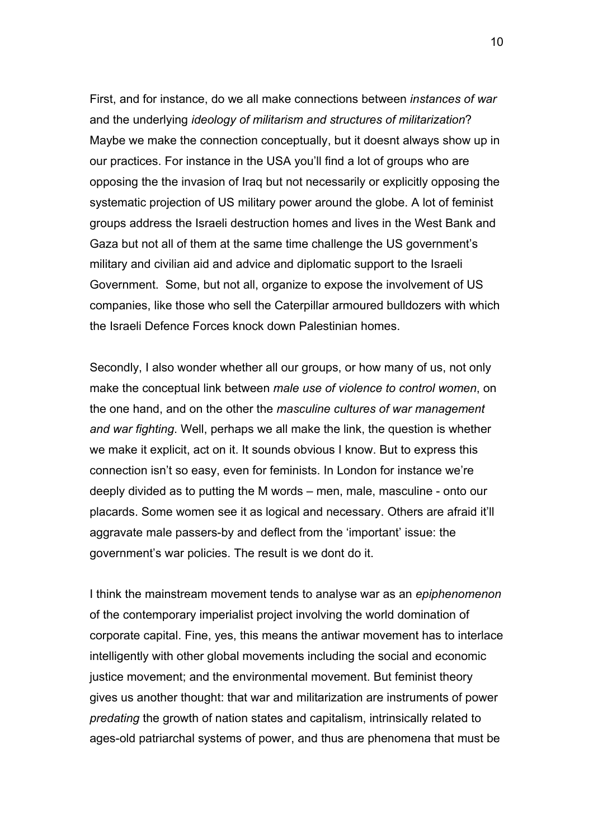First, and for instance, do we all make connections between *instances of war* and the underlying *ideology of militarism and structures of militarization*? Maybe we make the connection conceptually, but it doesnt always show up in our practices. For instance in the USA you'll find a lot of groups who are opposing the the invasion of Iraq but not necessarily or explicitly opposing the systematic projection of US military power around the globe. A lot of feminist groups address the Israeli destruction homes and lives in the West Bank and Gaza but not all of them at the same time challenge the US government's military and civilian aid and advice and diplomatic support to the Israeli Government. Some, but not all, organize to expose the involvement of US companies, like those who sell the Caterpillar armoured bulldozers with which the Israeli Defence Forces knock down Palestinian homes.

Secondly, I also wonder whether all our groups, or how many of us, not only make the conceptual link between *male use of violence to control women*, on the one hand, and on the other the *masculine cultures of war management and war fighting*. Well, perhaps we all make the link, the question is whether we make it explicit, act on it. It sounds obvious I know. But to express this connection isn't so easy, even for feminists. In London for instance we're deeply divided as to putting the M words – men, male, masculine - onto our placards. Some women see it as logical and necessary. Others are afraid it'll aggravate male passers-by and deflect from the 'important' issue: the government's war policies. The result is we dont do it.

I think the mainstream movement tends to analyse war as an *epiphenomenon* of the contemporary imperialist project involving the world domination of corporate capital. Fine, yes, this means the antiwar movement has to interlace intelligently with other global movements including the social and economic justice movement; and the environmental movement. But feminist theory gives us another thought: that war and militarization are instruments of power *predating* the growth of nation states and capitalism, intrinsically related to ages-old patriarchal systems of power, and thus are phenomena that must be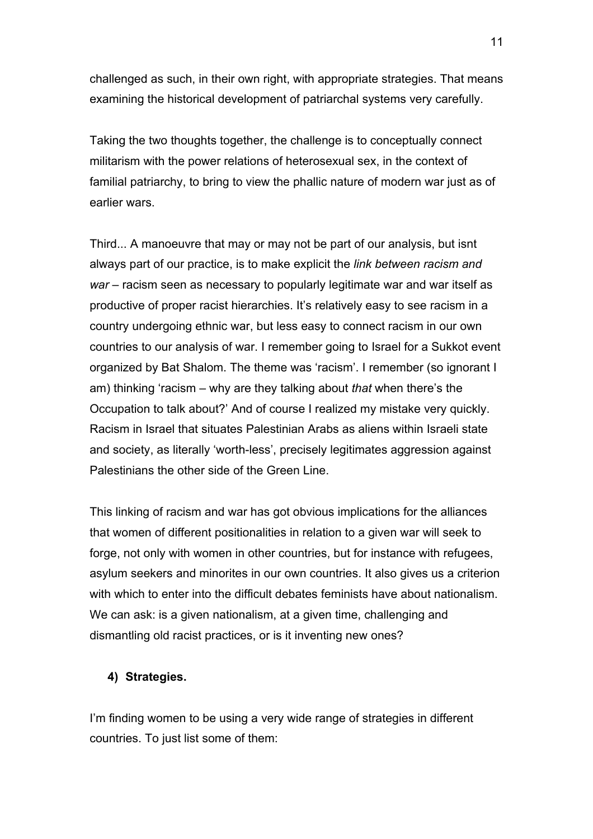challenged as such, in their own right, with appropriate strategies. That means examining the historical development of patriarchal systems very carefully.

Taking the two thoughts together, the challenge is to conceptually connect militarism with the power relations of heterosexual sex, in the context of familial patriarchy, to bring to view the phallic nature of modern war just as of earlier wars.

Third... A manoeuvre that may or may not be part of our analysis, but isnt always part of our practice, is to make explicit the *link between racism and war* – racism seen as necessary to popularly legitimate war and war itself as productive of proper racist hierarchies. It's relatively easy to see racism in a country undergoing ethnic war, but less easy to connect racism in our own countries to our analysis of war. I remember going to Israel for a Sukkot event organized by Bat Shalom. The theme was 'racism'. I remember (so ignorant I am) thinking 'racism – why are they talking about *that* when there's the Occupation to talk about?' And of course I realized my mistake very quickly. Racism in Israel that situates Palestinian Arabs as aliens within Israeli state and society, as literally 'worth-less', precisely legitimates aggression against Palestinians the other side of the Green Line.

This linking of racism and war has got obvious implications for the alliances that women of different positionalities in relation to a given war will seek to forge, not only with women in other countries, but for instance with refugees, asylum seekers and minorites in our own countries. It also gives us a criterion with which to enter into the difficult debates feminists have about nationalism. We can ask: is a given nationalism, at a given time, challenging and dismantling old racist practices, or is it inventing new ones?

# **4) Strategies.**

I'm finding women to be using a very wide range of strategies in different countries. To just list some of them: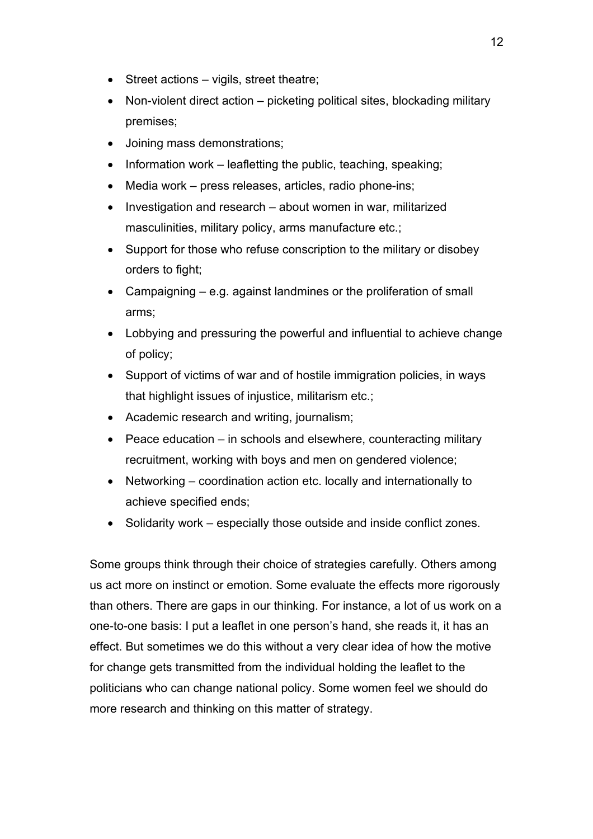- Street actions vigils, street theatre;
- Non-violent direct action picketing political sites, blockading military premises;
- Joining mass demonstrations;
- Information work leafletting the public, teaching, speaking;
- Media work press releases, articles, radio phone-ins;
- Investigation and research about women in war, militarized masculinities, military policy, arms manufacture etc.;
- Support for those who refuse conscription to the military or disobey orders to fight;
- Campaigning e.g. against landmines or the proliferation of small arms;
- Lobbying and pressuring the powerful and influential to achieve change of policy;
- Support of victims of war and of hostile immigration policies, in ways that highlight issues of injustice, militarism etc.;
- Academic research and writing, journalism;
- Peace education in schools and elsewhere, counteracting military recruitment, working with boys and men on gendered violence;
- Networking coordination action etc. locally and internationally to achieve specified ends;
- Solidarity work especially those outside and inside conflict zones.

Some groups think through their choice of strategies carefully. Others among us act more on instinct or emotion. Some evaluate the effects more rigorously than others. There are gaps in our thinking. For instance, a lot of us work on a one-to-one basis: I put a leaflet in one person's hand, she reads it, it has an effect. But sometimes we do this without a very clear idea of how the motive for change gets transmitted from the individual holding the leaflet to the politicians who can change national policy. Some women feel we should do more research and thinking on this matter of strategy.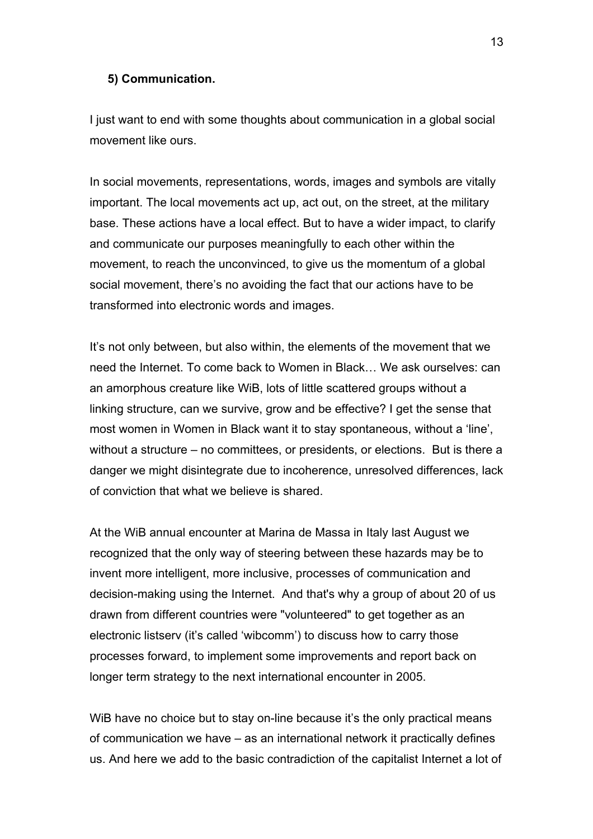#### **5) Communication.**

I just want to end with some thoughts about communication in a global social movement like ours.

In social movements, representations, words, images and symbols are vitally important. The local movements act up, act out, on the street, at the military base. These actions have a local effect. But to have a wider impact, to clarify and communicate our purposes meaningfully to each other within the movement, to reach the unconvinced, to give us the momentum of a global social movement, there's no avoiding the fact that our actions have to be transformed into electronic words and images.

It's not only between, but also within, the elements of the movement that we need the Internet. To come back to Women in Black… We ask ourselves: can an amorphous creature like WiB, lots of little scattered groups without a linking structure, can we survive, grow and be effective? I get the sense that most women in Women in Black want it to stay spontaneous, without a 'line', without a structure – no committees, or presidents, or elections. But is there a danger we might disintegrate due to incoherence, unresolved differences, lack of conviction that what we believe is shared.

At the WiB annual encounter at Marina de Massa in Italy last August we recognized that the only way of steering between these hazards may be to invent more intelligent, more inclusive, processes of communication and decision-making using the Internet. And that's why a group of about 20 of us drawn from different countries were "volunteered" to get together as an electronic listserv (it's called 'wibcomm') to discuss how to carry those processes forward, to implement some improvements and report back on longer term strategy to the next international encounter in 2005.

WiB have no choice but to stay on-line because it's the only practical means of communication we have – as an international network it practically defines us. And here we add to the basic contradiction of the capitalist Internet a lot of